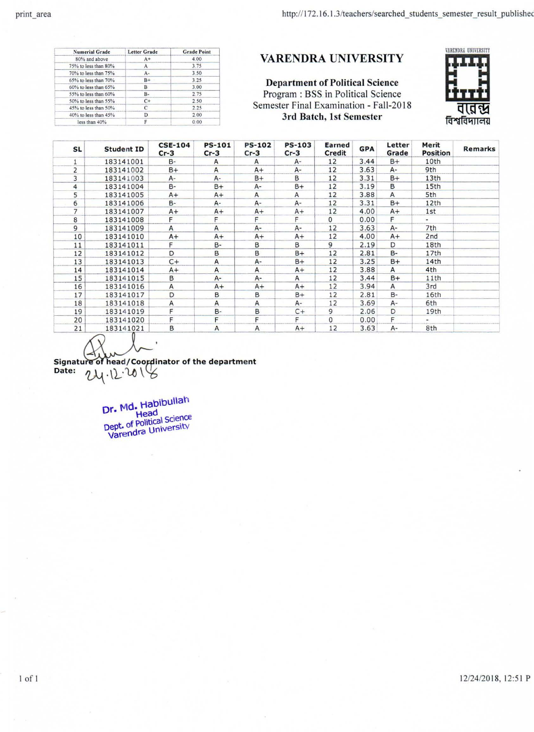$1$  of  $1$ 

| <b>Numerial Grade</b> | <b>Letter Grade</b> | <b>Grade Point</b> |
|-----------------------|---------------------|--------------------|
| 80% and above         | $A+$                | 4.00               |
| 75% to less than 80%  | A                   | 3.75               |
| 70% to less than 75%  | $A -$               | 3.50               |
| 65% to less than 70%  | $B+$                | 3.25               |
| 60% to less than 65%  | В                   | 3.00               |
| 55% to less than 60%  | в.                  | 2.75               |
| 50% to less than 55%  | $C+$                | 2.50               |
| 45% to less than 50%  | С                   | 2.25               |
| 40% to less than 45%  | D                   | 2.00               |
| less than 40%         |                     | 0.00               |

## **VARENDRA UNIVERSITY**

**Department of Political Science** Program : BSS in Political Science Semester Final Examination - Fall-2018 3rd Batch, 1st Semester



| <b>SL</b>      | <b>Student ID</b> | <b>CSE-104</b><br>$Cr-3$ | <b>PS-101</b><br>$Cr-3$ | <b>PS-102</b><br>$Cr-3$ | <b>PS-103</b><br>$Cr-3$ | <b>Earned</b><br><b>Credit</b> | <b>GPA</b> | Letter<br>Grade | Merit<br><b>Position</b> | <b>Remarks</b> |
|----------------|-------------------|--------------------------|-------------------------|-------------------------|-------------------------|--------------------------------|------------|-----------------|--------------------------|----------------|
|                | 183141001         | $B -$                    | A                       | Α                       | A-                      | 12                             | 3.44       | B+              | 10th                     |                |
| $\overline{2}$ | 183141002         | $B+$                     | A                       | $A+$                    | A-                      | 12                             | 3.63       | A-              | 9th                      |                |
| 3              | 183141003         | A-                       | $A -$                   | B+                      | B                       | 12                             | 3.31       | $B+$            | 13th                     |                |
| $\overline{4}$ | 183141004         | B-                       | $B+$                    | $A-$                    | $B+$                    | 12                             | 3.19       | в               | 15th                     |                |
| 5              | 183141005         | $A+$                     | $A+$                    | A                       | $\mathsf{A}$            | 12                             | 3.88       | A               | 5th                      |                |
| 6              | 183141006         | $B -$                    | A-                      | A-                      | $A -$                   | 12                             | 3.31       | $B+$            | 12th                     |                |
|                | 183141007         | $A+$                     | $A+$                    | $A+$                    | $A+$                    | 12                             | 4.00       | $A+$            | 1st                      |                |
| 8              | 183141008         | F.                       | F                       | F                       |                         | $\mathbf{0}$                   | 0.00       |                 | $\rightarrow$            |                |
| 9              | 183141009         | A                        | A                       | $A -$                   | A-                      | 12                             | 3.63       | $A -$           | 7th                      |                |
| 10             | 183141010         | $A+$                     | $A+$                    | $A+$                    | $A+$                    | 12                             | 4.00       | $A+$            | 2 <sub>nd</sub>          |                |
| 11             | 183141011         |                          | $B -$                   | В                       | в                       | 9                              | 2.19       | D               | 18th                     |                |
| 12             | 183141012         | D                        | в                       | В                       | $B+$                    | 12                             | 2.81       | B-              | 17th                     |                |
| 13             | 183141013         | $C+$                     | A                       | A-                      | $B+$                    | 12                             | 3.25       | $B+$            | 14th                     |                |
| 14             | 183141014         | $A+$                     | $\mathsf{A}$            | A                       | $A+$                    | 12                             | 3.88       | A               | 4th                      |                |
| 15             | 183141015         | в                        | $A -$                   | A-                      | Α                       | 12                             | 3.44       | $B+$            | 11th                     |                |
| 16             | 183141016         | A                        | $A+$                    | $A+$                    | $A+$                    | 12                             | 3.94       | Α               | 3rd                      |                |
| 17             | 183141017         | D                        | В                       | В                       | B+                      | 12                             | 2.81       | B-              | 16th                     |                |
| 18             | 183141018         | A                        | A                       | A                       | A-                      | 12                             | 3.69       | A-              | 6th                      |                |
| 19             | 183141019         |                          | B-                      | B                       | $C+$                    | 9                              | 2.06       | D               | 19th                     |                |
| 20             | 183141020         |                          | F                       | F                       |                         | 0                              | 0.00       | F.              |                          |                |
| 21             | 183141021         | В                        | A                       | Α                       | $A+$                    | 12                             | 3.63       | A-              | 8th                      |                |

Signature of head/Coordinator of the department<br>Date:  $2\mu \cdot 2 \cdot 20$ 

Dr. Md. Habibullah<br>Dept. of Political Science<br>Varendra University

12/24/2018, 12:51 P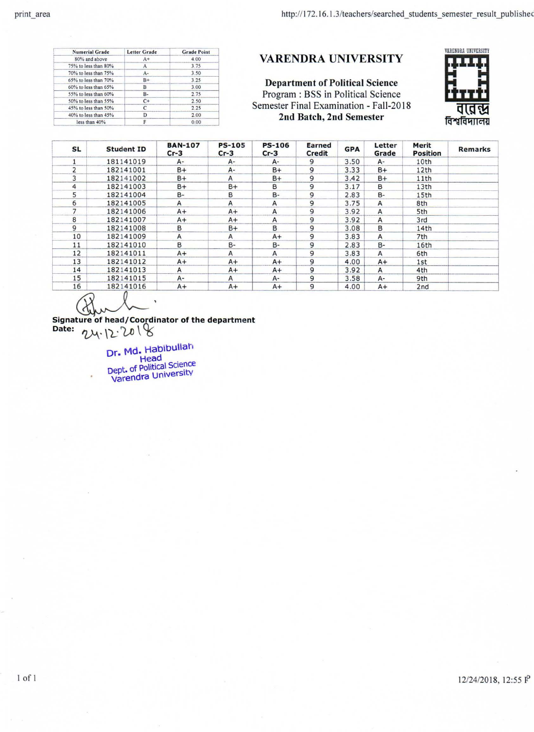| <b>Numerial Grade</b> | <b>Letter Grade</b> | <b>Grade Point</b> |
|-----------------------|---------------------|--------------------|
| 80% and above         | $A+$                | 4.00               |
| 75% to less than 80%  | А                   | 3.75               |
| 70% to less than 75%  | A-                  | 3.50               |
| 65% to less than 70%  | $B+$                | 3.25               |
| 60% to less than 65%  | в                   | 3.00               |
| 55% to less than 60%  | B-                  | 2.75               |
| 50% to less than 55%  | $C+$                | 2.50               |
| 45% to less than 50%  | С                   | 2.25               |
| 40% to less than 45%  |                     | 2.00               |
| less than 40%         |                     | 0.00               |

## VARENDRA UNIVERSITY

**Department of Political Science** Program : BSS in Political Science Semester Final Examination - Fall-2018 2nd Batch, 2nd Semester



| <b>SL</b>      | <b>Student ID</b> | <b>BAN-107</b><br>$Cr-3$ | <b>PS-105</b><br>$Cr-3$ | <b>PS-106</b><br>$Cr-3$ | Earned<br><b>Credit</b> | <b>GPA</b> | Letter<br>Grade | Merit<br><b>Position</b> | Remarks |
|----------------|-------------------|--------------------------|-------------------------|-------------------------|-------------------------|------------|-----------------|--------------------------|---------|
|                | 181141019         | A-                       | $A-$                    | A-                      | 9                       | 3.50       | A-              | 10th                     |         |
| 2              | 182141001         | $B+$                     | $A -$                   | $B+$                    | 9                       | 3.33       | $B+$            | 12th                     |         |
| 3              | 182141002         | $B+$                     | $\mathsf{A}$            | $B+$                    | 9                       | 3.42       | $B+$            | 11th                     |         |
| 4              | 182141003         | B+                       | $B+$                    | B                       | 9                       | 3.17       | В               | 13th                     |         |
| 5              | 182141004         | $B -$                    | в                       | $B -$                   | 9                       | 2.83       | $B -$           | 15 <sub>th</sub>         |         |
| 6              | 182141005         | A                        | А                       | A                       | 9                       | 3.75       | $\mathsf{A}$    | 8th                      |         |
| $\overline{7}$ | 182141006         | $A+$                     | $A+$                    | A                       | 9                       | 3.92       | A               | 5th                      |         |
| 8              | 182141007         | $A+$                     | $A+$                    | A                       | 9                       | 3.92       | A               | 3rd                      |         |
| 9              | 182141008         | в                        | $B+$                    | B                       | 9                       | 3.08       | B               | 14th                     |         |
| 10             | 182141009         | Α                        | A                       | $A+$                    | 9                       | 3.83       | $\overline{A}$  | 7th                      |         |
| 11             | 182141010         | в                        | B-                      | $B -$                   | 9                       | 2.83       | $B -$           | 16th                     |         |
| 12             | 182141011         | $A+$                     | A                       | A                       | 9                       | 3.83       | A               | 6th                      |         |
| 13             | 182141012         | $A+$                     | $A+$                    | $A+$                    | 9                       | 4.00       | $A+$            | 1st                      |         |
| 14             | 182141013         | A                        | $A+$                    | $A+$                    | 9                       | 3.92       | $\mathsf{A}$    | 4th                      |         |
| 15             | 182141015         | $A -$                    | $\mathsf{A}$            | $A -$                   | 9                       | 3.58       | A-              | 9th                      |         |
| 16             | 182141016         | $A+$                     | $A+$                    | $A+$                    | 9                       | 4.00       | $A+$            | 2nd                      |         |

 $\bullet$ 

 $1$  of  $1$ 

Signature of head/Coordinator of the department<br>Date:  $24.12.2018$ 

Dr. Md. Habibullah Dept. of Political Science<br>Varendra University

12/24/2018, 12:55 P

 $\bullet$